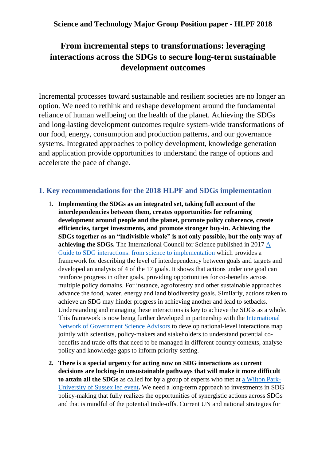# **From incremental steps to transformations: leveraging interactions across the SDGs to secure long-term sustainable development outcomes**

Incremental processes toward sustainable and resilient societies are no longer an option. We need to rethink and reshape development around the fundamental reliance of human wellbeing on the health of the planet. Achieving the SDGs and long-lasting development outcomes require system-wide transformations of our food, energy, consumption and production patterns, and our governance systems. Integrated approaches to policy development, knowledge generation and application provide opportunities to understand the range of options and accelerate the pace of change.

# **1. Key recommendations for the 2018 HLPF and SDGs implementation**

- 1. **Implementing the SDGs as an integrated set, taking full account of the interdependencies between them, creates opportunities for reframing development around people and the planet, promote policy coherence, create efficiencies, target investments, and promote stronger buy-in. Achieving the SDGs together as an "indivisible whole" is not only possible, but the only way of achieving the SDGs.** The International Council for Science published in 2017 [A](https://www.icsu.org/publications/a-guide-to-sdg-interactions-from-science-to-implementation)  [Guide to SDG interactions: from science to implementation](https://www.icsu.org/publications/a-guide-to-sdg-interactions-from-science-to-implementation) which provides a framework for describing the level of interdependency between goals and targets and developed an analysis of 4 of the 17 goals. It shows that actions under one goal can reinforce progress in other goals, providing opportunities for co-benefits across multiple policy domains. For instance, agroforestry and other sustainable approaches advance the food, water, energy and land biodiversity goals. Similarly, actions taken to achieve an SDG may hinder progress in achieving another and lead to setbacks. Understanding and managing these interactions is key to achieve the SDGs as a whole. This framework is now being further developed in partnership with the [International](http://www.ingsa.org/)  [Network of Government Science Advisors](http://www.ingsa.org/) to develop national-level interactions map jointly with scientists, policy-makers and stakeholders to understand potential cobenefits and trade-offs that need to be managed in different country contexts, analyse policy and knowledge gaps to inform priority-setting.
- **2. There is a special urgency for acting now on SDG interactions as current decisions are locking-in unsustainable pathways that will make it more difficult to attain all the SDGs** as called for by a group of experts who met at [a Wilton Park-](http://www.sussex.ac.uk/ssrp/sdg-interactions)[University of Sussex led event](http://www.sussex.ac.uk/ssrp/sdg-interactions)**.** We need a long-term approach to investments in SDG policy-making that fully realizes the opportunities of synergistic actions across SDGs and that is mindful of the potential trade-offs. Current UN and national strategies for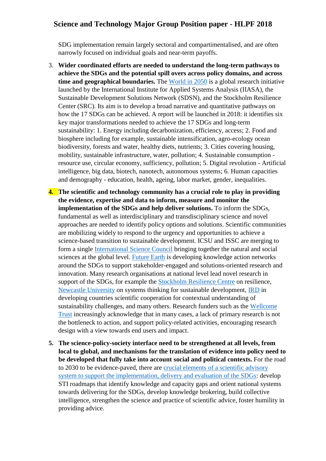SDG implementation remain largely sectoral and compartimentalised, and are often narrowly focused on individual goals and near-term payoffs.

- 3. **Wider coordinated efforts are needed to understand the long-term pathways to achieve the SDGs and the potential spill overs across policy domains, and across time and geographical boundaries.** The [World in 2050](http://www.iiasa.ac.at/web/home/research/twi/TWI2050.html) is a global research initiative launched by the International Institute for Applied Systems Analysis (IIASA), the Sustainable Development Solutions Network (SDSN), and the Stockholm Resilience Center (SRC). Its aim is to develop a broad narrative and quantitative pathways on how the 17 SDGs can be achieved. A report will be launched in 2018: it identifies six key major transformations needed to achieve the 17 SDGs and long-term sustainability: 1. Energy including decarbonization, efficiency, access; 2. Food and biosphere including for example, sustainable intensification, agro-ecology ocean biodiversity, forests and water, healthy diets, nutrients; 3. Cities covering housing, mobility, sustainable infrastructure, water, pollution; 4. Sustainable consumption resource use, circular economy, sufficiency, pollution; 5. Digital revolution - Artificial intelligence, big data, biotech, nanotech, autonomous systems; 6. Human capacities and demography - education, health, ageing, labor market, gender, inequalities.
- **4. The scientific and technology community has a crucial role to play in providing the evidence, expertise and data to inform, measure and monitor the implementation of the SDGs and help deliver solutions.** To inform the SDGs, fundamental as well as interdisciplinary and transdisciplinary science and novel approaches are needed to identify policy options and solutions. Scientific communities are mobilizing widely to respond to the urgency and opportunities to achieve a science-based transition to sustainable development. ICSU and ISSC are merging to form a single [International Science Council](https://www.icsu.org/) bringing together the natural and social sciences at the global level. [Future Earth](http://www.futureearth.org/) is developing knowledge action networks around the SDGs to support stakeholder-engaged and solutions-oriented research and innovation. Many research organisations at national level lead novel research in support of the SDGs, for example the [Stockholm Resilience Centre](http://www.stockholmresilience.org/) on resilience, [Newcastle University](http://www.ncl.ac.uk/sustainability/) on systems thinking for sustainable development, [IRD](https://www.ird.fr/) in developing countries scientific cooperation for contextual understanding of sustainability challenges, and many others. Research funders such as the [Wellcome](https://wellcome.ac.uk/)  [Trust](https://wellcome.ac.uk/) increasingly acknowledge that in many cases, a lack of primary research is not the bottleneck to action, and support policy-related activities, encouraging research design with a view towards end users and impact.
- **5. The science-policy-society interface need to be strengthened at all levels, from local to global, and mechanisms for the translation of evidence into policy need to be developed that fully take into account social and political contexts.** For the road to 2030 to be evidence-paved, there are [crucial elements of a scientific advisory](http://www.ingsa.org/wp-content/uploads/2017/11/INGSA_Manifesto_Consultation_131117_FINAL.pdf)  [system to support the implementation, delivery and evaluation of the SDGs:](http://www.ingsa.org/wp-content/uploads/2017/11/INGSA_Manifesto_Consultation_131117_FINAL.pdf) develop STI roadmaps that identify knowledge and capacity gaps and orient national systems towards delivering for the SDGs, develop knowledge brokering, build collective intelligence, strengthen the science and practice of scientific advice, foster humility in providing advice.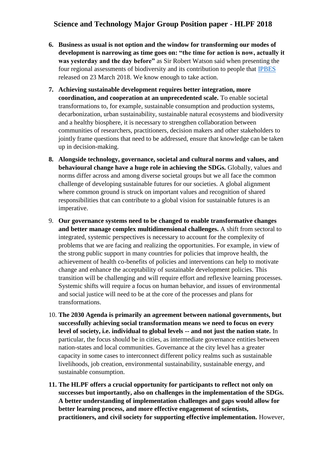- **6. Business as usual is not option and the window for transforming our modes of development is narrowing as time goes on: "the time for action is now, actually it was yesterday and the day before"** as Sir Robert Watson said when presenting the four regional assessments of biodiversity and its contribution to people that [IPBES](https://www.ipbes.net/) released on 23 March 2018. We know enough to take action.
- **7. Achieving sustainable development requires better integration, more coordination, and cooperation at an unprecedented scale.** To enable societal transformations to, for example, sustainable consumption and production systems, decarbonization, urban sustainability, sustainable natural ecosystems and biodiversity and a healthy biosphere, it is necessary to strengthen collaboration between communities of researchers, practitioners, decision makers and other stakeholders to jointly frame questions that need to be addressed, ensure that knowledge can be taken up in decision-making.
- **8. Alongside technology, governance, societal and cultural norms and values, and behavioural change have a huge role in achieving the SDGs.** Globally, values and norms differ across and among diverse societal groups but we all face the common challenge of developing sustainable futures for our societies. A global alignment where common ground is struck on important values and recognition of shared responsibilities that can contribute to a global vision for sustainable futures is an imperative.
- 9. **Our governance systems need to be changed to enable transformative changes and better manage complex multidimensional challenges.** A shift from sectoral to integrated, systemic perspectives is necessary to account for the complexity of problems that we are facing and realizing the opportunities. For example, in view of the strong public support in many countries for policies that improve health, the achievement of health co-benefits of policies and interventions can help to motivate change and enhance the acceptability of sustainable development policies. This transition will be challenging and will require effort and reflexive learning processes. Systemic shifts will require a focus on human behavior, and issues of environmental and social justice will need to be at the core of the processes and plans for transformations.
- 10. **The 2030 Agenda is primarily an agreement between national governments, but successfully achieving social transformation means we need to focus on every level of society, i.e. individual to global levels -- and not just the nation state.** In particular, the focus should be in cities, as intermediate governance entities between nation-states and local communities. Governance at the city level has a greater capacity in some cases to interconnect different policy realms such as sustainable livelihoods, job creation, environmental sustainability, sustainable energy, and sustainable consumption.
- **11. The HLPF offers a crucial opportunity for participants to reflect not only on successes but importantly, also on challenges in the implementation of the SDGs. A better understanding of implementation challenges and gaps would allow for better learning process, and more effective engagement of scientists, practitioners, and civil society for supporting effective implementation.** However,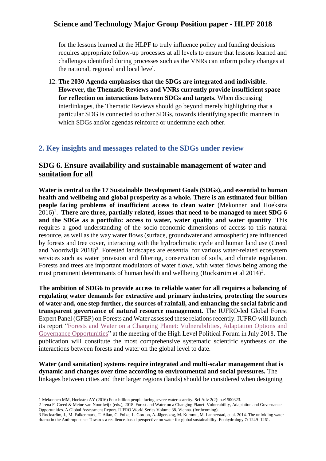for the lessons learned at the HLPF to truly influence policy and funding decisions requires appropriate follow-up processes at all levels to ensure that lessons learned and challenges identified during processes such as the VNRs can inform policy changes at the national, regional and local level.

12. **The 2030 Agenda emphasises that the SDGs are integrated and indivisible. However, the Thematic Reviews and VNRs currently provide insufficient space for reflection on interactions between SDGs and targets.** When discussing interlinkages, the Thematic Reviews should go beyond merely highlighting that a particular SDG is connected to other SDGs, towards identifying specific manners in which SDGs and/or agendas reinforce or undermine each other.

### **2. Key insights and messages related to the SDGs under review**

### **SDG 6. Ensure availability and sustainable management of water and sanitation for all**

**Water is central to the 17 Sustainable Development Goals (SDGs), and essential to human health and wellbeing and global prosperity as a whole. There is an estimated four billion people facing problems of insufficient access to clean water** (Mekonnen and Hoekstra 2016)<sup>1</sup>. There are three, partially related, issues that need to be managed to meet SDG 6 **and the SDGs as a portfolio: access to water, water quality and water quantity**. This requires a good understanding of the socio-economic dimensions of access to this natural resource, as well as the way water flows (surface, groundwater and atmospheric) are influenced by forests and tree cover, interacting with the hydroclimatic cycle and human land use (Creed and Noordwijk  $2018$ <sup>2</sup>. Forested landscapes are essential for various water-related ecosystem services such as water provision and filtering, conservation of soils, and climate regulation. Forests and trees are important modulators of water flows, with water flows being among the most prominent determinants of human health and wellbeing (Rockström et al  $2014$ )<sup>3</sup>.

**The ambition of SDG6 to provide access to reliable water for all requires a balancing of regulating water demands for extractive and primary industries, protecting the sources of water and, one step further, the sources of rainfall, and enhancing the social fabric and transparent governance of natural resource management.** The IUFRO-led Global Forest Expert Panel (GFEP) on Forests and Water assessed these relations recently. IUFRO will launch its report ["Forests and Water on a Changing Planet: Vulnerabilities, Adaptation Options and](https://www.iufro.org/science/gfep/forests-and-water-panel/)  [Governance Opportunities"](https://www.iufro.org/science/gfep/forests-and-water-panel/) at the meeting of the High Level Political Forum in July 2018. The publication will constitute the most comprehensive systematic scientific syntheses on the interactions between forests and water on the global level to date.

**Water (and sanitation) systems require integrated and multi-scalar management that is dynamic and changes over time according to environmental and social pressures.** The linkages between cities and their larger regions (lands) should be considered when designing

<sup>1</sup> Mekonnen MM, Hoekstra AY (2016) Four billion people facing severe water scarcity. Sci Adv 2(2): p.e1500323.

<sup>2</sup> Irena F. Creed & Meine van Noordwijk (eds.), 2018. Forest and Water on a Changing Planet: Vulnerability, Adaptation and Governance Opportunities. A Global Assessment Report. IUFRO World Series Volume 38. Vienna. (forthcoming).

<sup>3</sup> Rockström, J., M. Falkenmark, T. Allan, C. Folke, L. Gordon, A. Jägerskog, M. Kummu, M. Lannerstad, et al. 2014. The unfolding water drama in the Anthropocene: Towards a resilience-based perspective on water for global sustainability. Ecohydrology 7: 1249–1261.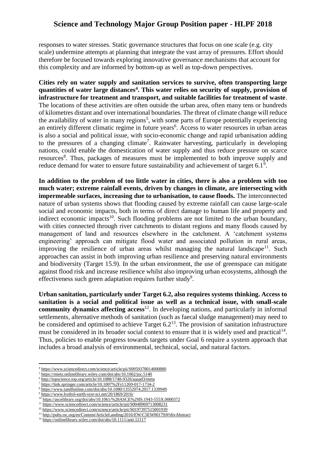responses to water stresses. Static governance structures that focus on one scale (e.g. city scale) undermine attempts at planning that integrate the vast array of pressures. Effort should therefore be focused towards exploring innovative governance mechanisms that account for this complexity and are informed by bottom-up as well as top-down perspectives.

**Cities rely on water supply and sanitation services to survive, often transporting large quantities of water large distances<sup>4</sup> . This water relies on security of supply, provision of infrastructure for treatment and transport, and suitable facilities for treatment of waste**. The locations of these activities are often outside the urban area, often many tens or hundreds of kilometres distant and over international boundaries. The threat of climate change will reduce the availability of water in many regions<sup>5</sup>, with some parts of Europe potentially experiencing an entirely different climatic regime in future years<sup>6</sup>. Access to water resources in urban areas is also a social and political issue, with socio-economic change and rapid urbanisation adding to the pressures of a changing climate<sup>7</sup>. Rainwater harvesting, particularly in developing nations, could enable the domestication of water supply and thus reduce pressure on scarce resources<sup>8</sup>. Thus, packages of measures must be implemented to both improve supply and reduce demand for water to ensure future sustainability and achievement of target  $6.1<sup>9</sup>$ .

**In addition to the problem of too little water in cities, there is also a problem with too much water; extreme rainfall events, driven by changes in climate, are intersecting with impermeable surfaces, increasing due to urbanisation, to cause floods.** The interconnected nature of urban systems shows that flooding caused by extreme rainfall can cause large-scale social and economic impacts, both in terms of direct damage to human life and property and indirect economic impacts<sup>10</sup>. Such flooding problems are not limited to the urban boundary, with cities connected through river catchments to distant regions and many floods caused by management of land and resources elsewhere in the catchment. A 'catchment systems engineering' approach can mitigate flood water and associated pollution in rural areas, improving the resilience of urban areas whilst managing the natural landscape<sup>11</sup>. Such approaches can assist in both improving urban resilience and preserving natural environments and biodiversity (Target 15.9). In the urban environment, the use of greenspace can mitigate against flood risk and increase resilience whilst also improving urban ecosystems, although the effectiveness such green adaptation requires further study<sup>9</sup>.

**Urban sanitation, particularly under Target 6.2, also requires systems thinking. Access to sanitation is a social and political issue as well as a technical issue, with small-scale community dynamics affecting access**<sup>12</sup>. In developing nations, and particularly in informal settlements, alternative methods of sanitation (such as faecal sludge management) may need to be considered and optimised to achieve Target  $6.2^{13}$ . The provision of sanitation infrastructure must be considered in its broader social context to ensure that it is widely used and practical<sup>14</sup>. Thus, policies to enable progress towards targets under Goal 6 require a system approach that includes a broad analysis of environmental, technical, social, and natural factors.

1

<sup>&</sup>lt;sup>4</sup> <https://www.sciencedirect.com/science/article/pii/S0959378014000880>

<sup>&</sup>lt;sup>5</sup> <https://rmets.onlinelibrary.wiley.com/doi/abs/10.1002/joc.5140>

<sup>6</sup> <http://iopscience.iop.org/article/10.1088/1748-9326/aaaad3/meta>

<sup>7</sup> <https://link.springer.com/article/10.1007%2Fs11269-017-1734-2>

<sup>8</sup> <https://www.tandfonline.com/doi/abs/10.1080/13552074.2017.1339949>

<sup>9</sup> <https://www.hydrol-earth-syst-sci.net/20/1869/2016/>

<sup>10</sup> <https://ascelibrary.org/doi/abs/10.1061/%28ASCE%29IS.1943-555X.0000372>

<sup>&</sup>lt;sup>11</sup> <https://www.sciencedirect.com/science/article/pii/S0048969713008231> <sup>12</sup> <https://www.sciencedirect.com/science/article/pii/S0197397515001939>

<sup>13</sup> <http://pubs.rsc.org/en/Content/ArticleLanding/2016/EW/C5EW00179J#!divAbstract>

<sup>&</sup>lt;sup>14</sup> <https://onlinelibrary.wiley.com/doi/abs/10.1111/anti.12117>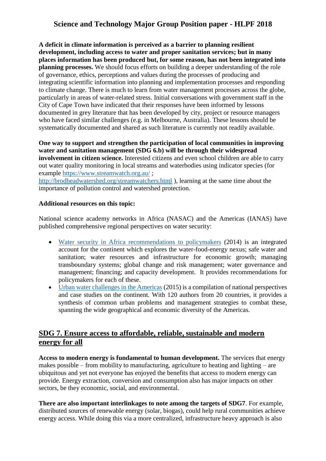**A deficit in climate information is perceived as a barrier to planning resilient development, including access to water and proper sanitation services; but in many places information has been produced but, for some reason, has not been integrated into planning processes.** We should focus efforts on building a deeper understanding of the role of governance, ethics, perceptions and values during the processes of producing and integrating scientific information into planning and implementation processes and responding to climate change. There is much to learn from water management processes across the globe, particularly in areas of water-related stress. Initial conversations with government staff in the City of Cape Town have indicated that their responses have been informed by lessons documented in grey literature that has been developed by city, project or resource managers who have faced similar challenges (e.g. in Melbourne, Australia). These lessons should be systematically documented and shared as such literature is currently not readily available.

**One way to support and strengthen the participation of local communities in improving water and sanitation management (SDG 6.b) will be through their widespread involvement in citizen science.** Interested citizens and even school children are able to carry out water quality monitoring in local streams and waterbodies using indicator species (for example<https://www.streamwatch.org.au/> ; <http://brodheadwatershed.org/streamwatchers.html> ), learning at the same time about the importance of pollution control and watershed protection.

#### **Additional resources on this topic:**

National science academy networks in Africa (NASAC) and the Americas (IANAS) have published comprehensive regional perspectives on water security:

- [Water security in Africa recommendations to policymakers](http://nasaconline.org/wp-content/uploads/2016/05/The-Grand-Challenge-of-Water-Security-in-Africa-Recommendations-to-Policymakers.pdf) (2014) is an integrated account for the continent which explores the water-food-energy nexus; safe water and sanitation; water resources and infrastructure for economic growth; managing transboundary systems; global change and risk management; water governance and management; financing; and capacity development. It provides recommendations for policymakers for each of these.
- [Urban water challenges in the Americas](http://www.ianas.org/docs/books/Urban_Water.html) (2015) is a compilation of national perspectives and case studies on the continent. With 120 authors from 20 countries, it provides a synthesis of common urban problems and management strategies to combat these, spanning the wide geographical and economic diversity of the Americas.

# **SDG 7. Ensure access to affordable, reliable, sustainable and modern energy for all**

**Access to modern energy is fundamental to human development.** The services that energy makes possible – from mobility to manufacturing, agriculture to heating and lighting – are ubiquitous and yet not everyone has enjoyed the benefits that access to modern energy can provide. Energy extraction, conversion and consumption also has major impacts on other sectors, be they economic, social, and environmental.

**There are also important interlinkages to note among the targets of SDG7**. For example, distributed sources of renewable energy (solar, biogas), could help rural communities achieve energy access. While doing this via a more centralized, infrastructure heavy approach is also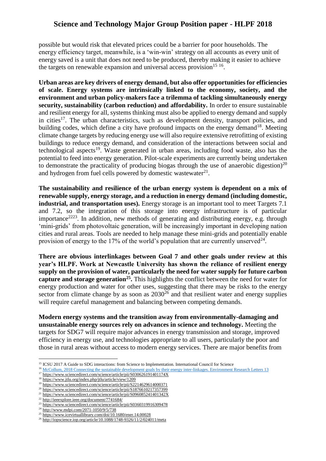possible but would risk that elevated prices could be a barrier for poor households. The energy efficiency target, meanwhile, is a 'win-win' strategy on all accounts as every unit of energy saved is a unit that does not need to be produced, thereby making it easier to achieve the targets on renewable expansion and universal access provision<sup>15 16</sup>.

**Urban areas are key drivers of energy demand, but also offer opportunities for efficiencies of scale. Energy systems are intrinsically linked to the economy, society, and the environment and urban policy-makers face a trilemma of tackling simultaneously energy security, sustainability (carbon reduction) and affordability.** In order to ensure sustainable and resilient energy for all, systems thinking must also be applied to energy demand and supply in cities<sup>17</sup>. The urban characteristics, such as development density, transport policies, and building codes, which define a city have profound impacts on the energy demand<sup>18</sup>. Meeting climate change targets by reducing energy use will also require extensive retrofitting of existing buildings to reduce energy demand, and consideration of the interactions between social and technological aspects<sup>19</sup>. Waste generated in urban areas, including food waste, also has the potential to feed into energy generation. Pilot-scale experiments are currently being undertaken to demonstrate the practicality of producing biogas through the use of anaerobic digestion)<sup>20</sup> and hydrogen from fuel cells powered by domestic wastewater $^{21}$ .

**The sustainability and resilience of the urban energy system is dependent on a mix of renewable supply, energy storage, and a reduction in energy demand (including domestic, industrial, and transportation uses).** Energy storage is an important tool to meet Targets 7.1 and 7.2, so the integration of this storage into energy infrastructure is of particular importance<sup>2223</sup>. In addition, new methods of generating and distributing energy, e.g. through 'mini-grids' from photovoltaic generation, will be increasingly important in developing nation cities and rural areas. Tools are needed to help manage these mini-grids and potentially enable provision of energy to the 17% of the world's population that are currently unserved $^{24}$ .

**There are obvious interlinkages between Goal 7 and other goals under review at this year's HLPF. Work at Newcastle University has shown the reliance of resilient energy supply on the provision of water, particularly the need for water supply for future carbon capture and storage generation<sup>25</sup> .** This highlights the conflict between the need for water for energy production and water for other uses, suggesting that there may be risks to the energy sector from climate change by as soon as  $2030^{26}$  and that resilient water and energy supplies will require careful management and balancing between competing demands.

**Modern energy systems and the transition away from environmentally-damaging and unsustainable energy sources rely on advances in science and technology.** Meeting the targets for SDG7 will require major advances in energy transmission and storage, improved efficiency in energy use, and technologies appropriate to all users, particularly the poor and those in rural areas without access to modern energy services. There are major benefits from

<sup>22</sup> <http://ieeexplore.ieee.org/document/7741684/>

**<sup>.</sup>** <sup>15</sup> ICSU 2017 A Guide to SDG interactions: from Science to Implementation. International Council for Science

<sup>&</sup>lt;sup>16</sup> [McCollum, 2018 Connecting the sustainable development goals by their energy inter-linkages. Environment Research Letters 13](http://iopscience.iop.org/article/10.1088/1748-9326/aaafe3/meta)

<sup>&</sup>lt;sup>17</sup> <https://www.sciencedirect.com/science/article/pii/S030626191401174X>

<sup>18</sup> <https://www.jtlu.org/index.php/jtlu/article/view/1209>

<sup>&</sup>lt;sup>19</sup> <https://www.sciencedirect.com/science/article/pii/S2214629614000371>

<sup>&</sup>lt;sup>20</sup> <https://www.sciencedirect.com/science/article/pii/S1876610217357399> <sup>21</sup> <https://www.sciencedirect.com/science/article/pii/S096085241401342X>

 $23$  <https://www.sciencedirect.com/science/article/pii/S0360319916309478>

<sup>&</sup>lt;sup>24</sup> <http://www.mdpi.com/2071-1050/9/5/738>

<sup>&</sup>lt;sup>25</sup> <https://www.icevirtuallibrary.com/doi/10.1680/ener.14.00028>

<sup>&</sup>lt;sup>26</sup> <http://iopscience.iop.org/article/10.1088/1748-9326/11/2/024011/meta>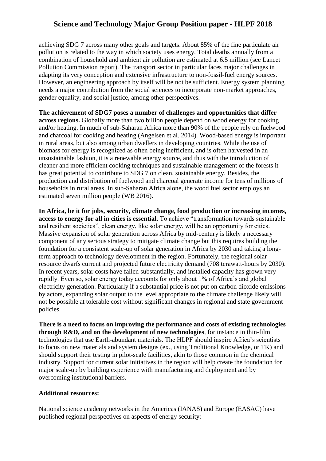achieving SDG 7 across many other goals and targets. About 85% of the fine particulate air pollution is related to the way in which society uses energy. Total deaths annually from a combination of household and ambient air pollution are estimated at 6.5 million (see Lancet Pollution Commission report). The transport sector in particular faces major challenges in adapting its very conception and extensive infrastructure to non-fossil-fuel energy sources. However, an engineering approach by itself will be not be sufficient. Energy system planning needs a major contribution from the social sciences to incorporate non-market approaches, gender equality, and social justice, among other perspectives.

**The achievement of SDG7 poses a number of challenges and opportunities that differ across regions.** Globally more than two billion people depend on wood energy for cooking and/or heating. In much of sub-Saharan Africa more than 90% of the people rely on fuelwood and charcoal for cooking and heating (Angelsen et al. 2014). Wood-based energy is important in rural areas, but also among urban dwellers in developing countries. While the use of biomass for energy is recognized as often being inefficient, and is often harvested in an unsustainable fashion, it is a renewable energy source, and thus with the introduction of cleaner and more efficient cooking techniques and sustainable management of the forests it has great potential to contribute to SDG 7 on clean, sustainable energy. Besides, the production and distribution of fuelwood and charcoal generate income for tens of millions of households in rural areas. In sub-Saharan Africa alone, the wood fuel sector employs an estimated seven million people (WB 2016).

**In Africa, be it for jobs, security, climate change, food production or increasing incomes, access to energy for all in cities is essential.** To achieve "transformation towards sustainable and resilient societies", clean energy, like solar energy, will be an opportunity for cities. Massive expansion of solar generation across Africa by mid-century is likely a necessary component of any serious strategy to mitigate climate change but this requires building the foundation for a consistent scale-up of solar generation in Africa by 2030 and taking a longterm approach to technology development in the region. Fortunately, the regional solar resource dwarfs current and projected future electricity demand (708 terawatt-hours by 2030). In recent years, solar costs have fallen substantially, and installed capacity has grown very rapidly. Even so, solar energy today accounts for only about 1% of Africa's and global electricity generation. Particularly if a substantial price is not put on carbon dioxide emissions by actors, expanding solar output to the level appropriate to the climate challenge likely will not be possible at tolerable cost without significant changes in regional and state government policies.

**There is a need to focus on improving the performance and costs of existing technologies through R&D, and on the development of new technologies**, for instance in thin-film technologies that use Earth-abundant materials. The HLPF should inspire Africa's scientists to focus on new materials and system designs (ex., using Traditional Knowledge, or TK) and should support their testing in pilot-scale facilities, akin to those common in the chemical industry. Support for current solar initiatives in the region will help create the foundation for major scale-up by building experience with manufacturing and deployment and by overcoming institutional barriers.

#### **Additional resources:**

National science academy networks in the Americas (IANAS) and Europe (EASAC) have published regional perspectives on aspects of energy security: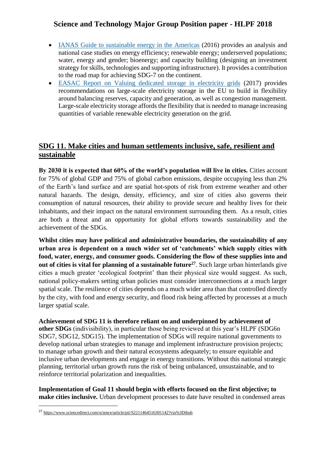- [IANAS Guide to sustainable energy in the Americas](http://www.ianas.org/docs/books/Guide_Towards.html) (2016) provides an analysis and national case studies on energy efficiency; renewable energy; underserved populations; water, energy and gender; bioenergy; and capacity building (designing an investment strategy for skills, technologies and supporting infrastructure). It provides a contribution to the road map for achieving SDG-7 on the continent.
- [EASAC Report on Valuing dedicated storage in electricity grids](https://easac.eu/publications/details/valuing-dedicated-storage-in-electricity-grids/) (2017) provides recommendations on large-scale electricity storage in the EU to build in flexibility around balancing reserves, capacity and generation, as well as congestion management. Large-scale electricity storage affords the flexibility that is needed to manage increasing quantities of variable renewable electricity generation on the grid.

### **SDG 11. Make cities and human settlements inclusive, safe, resilient and sustainable**

**By 2030 it is expected that 60% of the world's population will live in cities.** Cities account for 75% of global GDP and 75% of global carbon emissions, despite occupying less than 2% of the Earth's land surface and are spatial hot-spots of risk from extreme weather and other natural hazards. The design, density, efficiency, and size of cities also governs their consumption of natural resources, their ability to provide secure and healthy lives for their inhabitants, and their impact on the natural environment surrounding them. As a result, cities are both a threat and an opportunity for global efforts towards sustainability and the achievement of the SDGs.

**Whilst cities may have political and administrative boundaries, the sustainability of any urban area is dependent on a much wider set of 'catchments' which supply cities with food, water, energy, and consumer goods. Considering the flow of these supplies into and out of cities is vital for planning of a sustainable future<sup>27</sup>**. Such large urban hinterlands give cities a much greater 'ecological footprint' than their physical size would suggest. As such, national policy-makers setting urban policies must consider interconnections at a much larger spatial scale. The resilience of cities depends on a much wider area than that controlled directly by the city, with food and energy security, and flood risk being affected by processes at a much larger spatial scale.

**Achievement of SDG 11 is therefore reliant on and underpinned by achievement of other SDGs** (indivisibility), in particular those being reviewed at this year's HLPF (SDG6n SDG7, SDG12, SDG15). The implementation of SDGs will require national governments to develop national urban strategies to manage and implement infrastructure provision projects; to manage urban growth and their natural ecosystems adequately; to ensure equitable and inclusive urban developments and engage in energy transitions. Without this national strategic planning, territorial urban growth runs the risk of being unbalanced, unsustainable, and to reinforce territorial polarization and inequalities.

**Implementation of Goal 11 should begin with efforts focused on the first objective; to make cities inclusive.** Urban development processes to date have resulted in condensed areas

<sup>27</sup> <https://www.sciencedirect.com/science/article/pii/S2211464516301142?via%3Dihub>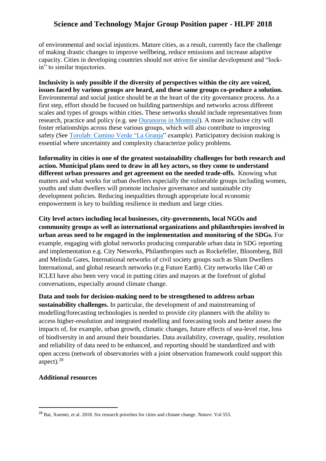of environmental and social injustices. Mature cities, as a result, currently face the challenge of making drastic changes to improve wellbeing, reduce emissions and increase adaptive capacity. Cities in developing countries should not strive for similar development and "lockin" to similar trajectories.

**Inclusivity is only possible if the diversity of perspectives within the city are voiced, issues faced by various groups are heard, and these same groups co-produce a solution.**  Environmental and social justice should be at the heart of the city governance process. As a first step, effort should be focused on building partnerships and networks across different scales and types of groups within cities. These networks should include representatives from research, practice and policy (e.g. see [Ouranoros in Montreal\)](https://www.ouranos.ca/en/program/built-environment/). A more inclusive city will foster relationships across these various groups, which will also contribute to improving safety (See [Torolab: Camino Verde "La Granja"](http://galeriaomr.com/torolab-la-granja/) example). Participatory decision making is essential where uncertainty and complexity characterize policy problems.

**Informality in cities is one of the greatest sustainability challenges for both research and action. Municipal plans need to draw in all key actors, so they come to understand different urban pressures and get agreement on the needed trade-offs.** Knowing what matters and what works for urban dwellers especially the vulnerable groups including women, youths and slum dwellers will promote inclusive governance and sustainable city development policies. Reducing inequalities through appropriate local economic empowerment is key to building resilience in medium and large cities.

**City level actors including local businesses, city-governments, local NGOs and community groups as well as international organizations and philanthropies involved in urban areas need to be engaged in the implementation and monitoring of the SDGs.** For example, engaging with global networks producing comparable urban data in SDG reporting and implementation e.g. City Networks, Philanthropies such as Rockefeller, Bloomberg, Bill and Melinda Gates, International networks of civil society groups such as Slum Dwellers International, and global research networks (e.g Future Earth). City networks like C40 or ICLEI have also been very vocal in putting cities and mayors at the forefront of global conversations, especially around climate change.

**Data and tools for decision-making need to be strengthened to address urban sustainability challenges.** In particular, the development of and mainstreaming of modelling/forecasting technologies is needed to provide city planners with the ability to access higher-resolution and integrated modelling and forecasting tools and better assess the impacts of, for example, urban growth, climatic changes, future effects of sea-level rise, loss of biodiversity in and around their boundaries. Data availability, coverage, quality, resolution and reliability of data need to be enhanced, and reporting should be standardized and with open access (network of observatories with a joint observation framework could support this aspect). $28$ 

#### **Additional resources**

<sup>28</sup> Bai, Xuemei, et al. 2018. Six research priorities for cities and climate change. *Nature*. Vol 555.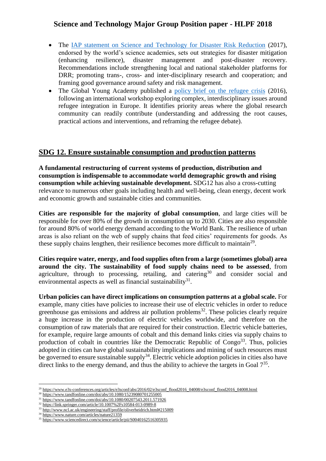- The [IAP statement on Science and Technology for Disaster Risk Reduction](http://www.interacademies.org/36499/IAP-Statement-on-Science-and-Technology-for-Disaster-Risk-Reduction) (2017), endorsed by the world's science academies, sets out strategies for disaster mitigation (enhancing resilience), disaster management and post-disaster recovery. Recommendations include strengthening local and national stakeholder platforms for DRR; promoting trans-, cross- and inter-disciplinary research and cooperation; and framing good governance around safety and risk management.
- The Global Young Academy published a [policy brief on the refugee crisis](https://globalyoungacademy.net/publications/fresh-eyes-on-the-refugee-crisis-an-interdisciplinary-approach/) (2016), following an international workshop exploring complex, interdisciplinary issues around refugee integration in Europe. It identifies priority areas where the global research community can readily contribute (understanding and addressing the root causes, practical actions and interventions, and reframing the refugee debate).

### **SDG 12. Ensure sustainable consumption and production patterns**

**A fundamental restructuring of current systems of production, distribution and consumption is indispensable to accommodate world demographic growth and rising consumption while achieving sustainable development.** SDG12 has also a cross-cutting relevance to numerous other goals including health and well-being, clean energy, decent work and economic growth and sustainable cities and communities.

**Cities are responsible for the majority of global consumption**, and large cities will be responsible for over 80% of the growth in consumption up to 2030. Cities are also responsible for around 80% of world energy demand according to the World Bank. The resilience of urban areas is also reliant on the web of supply chains that feed cities' requirements for goods. As these supply chains lengthen, their resilience becomes more difficult to maintain<sup>29</sup>.

**Cities require water, energy, and food supplies often from a large (sometimes global) area around the city. The sustainability of food supply chains need to be assessed**, from agriculture, through to processing, retailing, and catering<sup>30</sup> and consider social and environmental aspects as well as financial sustainability $31$ .

**Urban policies can have direct implications on consumption patterns at a global scale.** For example, many cities have policies to increase their use of electric vehicles in order to reduce greenhouse gas emissions and address air pollution problems<sup>32</sup>. These policies clearly require a huge increase in the production of electric vehicles worldwide, and therefore on the consumption of raw materials that are required for their construction. Electric vehicle batteries, for example, require large amounts of cobalt and this demand links cities via supply chains to production of cobalt in countries like the Democratic Republic of  $Congo<sup>33</sup>$ . Thus, policies adopted in cities can have global sustainability implications and mining of such resources must be governed to ensure sustainable supply<sup>34</sup>. Electric vehicle adoption policies in cities also have direct links to the energy demand, and thus the ability to achieve the targets in Goal  $7<sup>35</sup>$ .

<sup>&</sup>lt;sup>29</sup> [https://www.e3s-conferences.org/articles/e3sconf/abs/2016/02/e3sconf\\_flood2016\\_04008/e3sconf\\_flood2016\\_04008.html](https://www.e3s-conferences.org/articles/e3sconf/abs/2016/02/e3sconf_flood2016_04008/e3sconf_flood2016_04008.html)

<sup>&</sup>lt;sup>30</sup> <https://www.tandfonline.com/doi/abs/10.1080/15239080701255005>

<sup>&</sup>lt;sup>31</sup> <https://www.tandfonline.com/doi/abs/10.1080/00207543.2011.571926>

<sup>&</sup>lt;sup>32</sup> <https://link.springer.com/article/10.1007%2Fs10584-013-0989-8>

<sup>33</sup> <http://www.ncl.ac.uk/engineering/staff/profile/oliverheidrich.html#215009>

<sup>34</sup> <https://www.nature.com/articles/nature21359>

<sup>&</sup>lt;sup>35</sup> <https://www.sciencedirect.com/science/article/pii/S0040162516305935>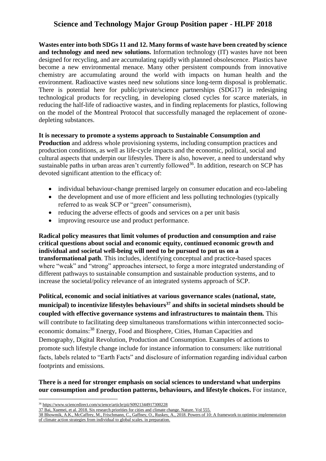**Wastes enter into both SDGs 11 and 12. Many forms of waste have been created by science and technology and need new solutions.** Information technology (IT) wastes have not been designed for recycling, and are accumulating rapidly with planned obsolescence. Plastics have become a new environmental menace. Many other persistent compounds from innovative chemistry are accumulating around the world with impacts on human health and the environment. Radioactive wastes need new solutions since long-term disposal is problematic. There is potential here for public/private/science partnerships (SDG17) in redesigning technological products for recycling, in developing closed cycles for scarce materials, in reducing the half-life of radioactive wastes, and in finding replacements for plastics, following on the model of the Montreal Protocol that successfully managed the replacement of ozonedepleting substances.

#### **It is necessary to promote a systems approach to Sustainable Consumption and**

**Production** and address whole provisioning systems, including consumption practices and production conditions, as well as life-cycle impacts and the economic, political, social and cultural aspects that underpin our lifestyles. There is also, however, a need to understand why sustainable paths in urban areas aren't currently followed<sup>36</sup>. In addition, research on SCP has devoted significant attention to the efficacy of:

- individual behaviour-change premised largely on consumer education and eco-labeling
- the development and use of more efficient and less polluting technologies (typically referred to as weak SCP or "green" consumerism),
- reducing the adverse effects of goods and services on a per unit basis
- improving resource use and product performance.

**Radical policy measures that limit volumes of production and consumption and raise critical questions about social and economic equity, continued economic growth and individual and societal well-being will need to be pursued to put us on a transformational path**. This includes, identifying conceptual and practice-based spaces where "weak" and "strong" approaches intersect, to forge a more integrated understanding of different pathways to sustainable consumption and sustainable production systems, and to increase the societal/policy relevance of an integrated systems approach of SCP.

**Political, economic and social initiatives at various governance scales (national, state, municipal) to incentivize lifestyles behaviours<sup>37</sup> and shifts in societal mindsets should be coupled with effective governance systems and infrastructures to maintain them.** This will contribute to facilitating deep simultaneous transformations within interconnected socioeconomic domains:<sup>38</sup> Energy, Food and Biosphere, Cities, Human Capacities and Demography, Digital Revolution, Production and Consumption. Examples of actions to promote such lifestyle change include for instance information to consumers: like nutritional facts, labels related to "Earth Facts" and disclosure of information regarding individual carbon footprints and emissions.

#### **There is a need for stronger emphasis on social sciences to understand what underpins our consumption and production patterns, behaviours, and lifestyle choices.** For instance,

**<sup>.</sup>** <sup>36</sup> <https://www.sciencedirect.com/science/article/pii/S0921344917300228>

<sup>37</sup> Bai, Xuemei, et al. 2018. Six research priorities for cities and climate change. Nature. Vol 555.

<sup>38</sup> Bhowmik, A.K., McCaffrey, M., Frischmann, C., Gaffney, O., Ruskey, A., 2018. Powers of 10: A framework to optimise implementation of climate action strategies from individual to global scales. in preparation.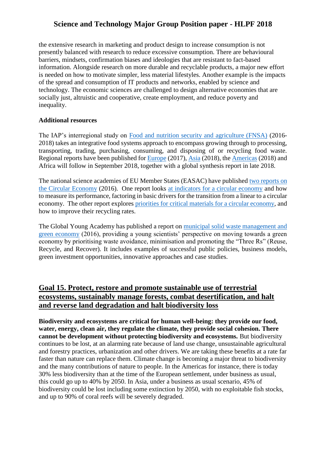the extensive research in marketing and product design to increase consumption is not presently balanced with research to reduce excessive consumption. There are behavioural barriers, mindsets, confirmation biases and ideologies that are resistant to fact-based information. Alongside research on more durable and recyclable products, a major new effort is needed on how to motivate simpler, less material lifestyles. Another example is the impacts of the spread and consumption of IT products and networks, enabled by science and technology. The economic sciences are challenged to design alternative economies that are socially just, altruistic and cooperative, create employment, and reduce poverty and inequality.

#### **Additional resources**

The IAP's interregional study on [Food and nutrition security and agriculture \(FNSA\)](http://www.interacademies.org/Activities/Projects/37646.aspx) (2016- 2018) takes an integrative food systems approach to encompass growing through to processing, transporting, trading, purchasing, consuming, and disposing of or recycling food waste. Regional reports have been published for [Europe](http://www.interacademies.org/38802/EASAC-Opportunities-and-Challenges-for-Research-on-Food-and-Nutrition-Security-and-Agriculture-in-Europe-) (2017), [Asia](http://www.interacademies.org/45193/Opportunities-and-challenges-for-research-on-food-and-nutrition-security-and-agriculture-in-Asia) (2018), the [Americas](http://www.interacademies.org/45198/Opportunities-and-challenges-for-research-on-food-and-nutrition-security-and-agriculture-in-the-Americas) (2018) and Africa will follow in September 2018, together with a global synthesis report in late 2018.

The national science academies of EU Member States (EASAC) have published [two reports on](https://easac.eu/publications/details/circular-economy-indicators-and-priorities-for-critical-materials/)  [the Circular Economy](https://easac.eu/publications/details/circular-economy-indicators-and-priorities-for-critical-materials/) (2016). One report looks [at indicators for a circular economy](http://www.interacademies.org/31293/EASAC-Indicators-for-a-circular-economy) and how to measure its performance, factoring in basic drivers for the transition from a linear to a circular economy. The other report explores [priorities for critical materials for a circular economy,](http://www.interacademies.org/31288/EASAC-Priorities-for-critical-materials-for-a-circular-economy) and how to improve their recycling rates.

The Global Young Academy has published a report on [municipal solid waste management and](https://globalyoungacademy.net/wp-content/uploads/2016/09/Municipal-Solid-Waste-Management-and-Green-Economy-Report_20160901.pdf)  [green economy](https://globalyoungacademy.net/wp-content/uploads/2016/09/Municipal-Solid-Waste-Management-and-Green-Economy-Report_20160901.pdf) (2016), providing a young scientists' perspective on moving towards a green economy by prioritising waste avoidance, minimisation and promoting the "Three Rs" (Reuse, Recycle, and Recover). It includes examples of successful public policies, business models, green investment opportunities, innovative approaches and case studies.

### **Goal 15. Protect, restore and promote sustainable use of terrestrial ecosystems, sustainably manage forests, combat desertification, and halt and reverse land degradation and halt biodiversity loss**

**Biodiversity and ecosystems are critical for human well-being: they provide our food, water, energy, clean air, they regulate the climate, they provide social cohesion. There cannot be development without protecting biodiversity and ecosystems.** But biodiversity continues to be lost, at an alarming rate because of land use change, unsustainable agricultural and forestry practices, urbanization and other drivers. We are taking these benefits at a rate far faster than nature can replace them. Climate change is becoming a major threat to biodiversity and the many contributions of nature to people. In the Americas for instance, there is today 30% less biodiversity than at the time of the European settlement, under business as usual, this could go up to 40% by 2050. In Asia, under a business as usual scenario, 45% of biodiversity could be lost including some extinction by 2050, with no exploitable fish stocks, and up to 90% of coral reefs will be severely degraded.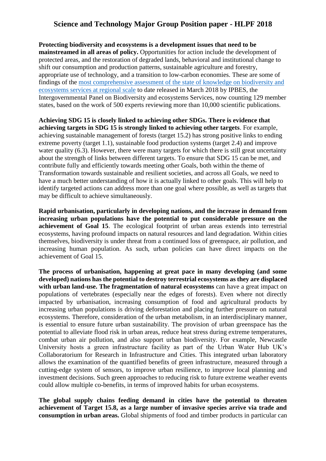**Protecting biodiversity and ecosystems is a development issues that need to be mainstreamed in all areas of policy.** Opportunities for action include the development of protected areas, and the restoration of degraded lands, behavioral and institutional change to shift our consumption and production patterns, sustainable agriculture and forestry, appropriate use of technology, and a transition to low-carbon economies. These are some of findings of the [most comprehensive assessment of the state of knowledge on biodiversity and](https://www.ipbes.net/now-available-unedited-advance-summaries-policymakers-four-regional-assessments-thematic-assessment)  [ecosystems services at regional scale](https://www.ipbes.net/now-available-unedited-advance-summaries-policymakers-four-regional-assessments-thematic-assessment) to date released in March 2018 by IPBES, the Intergovernmental Panel on Biodiversity and ecosystems Services, now counting 129 member states, based on the work of 500 experts reviewing more than 10,000 scientific publications.

**Achieving SDG 15 is closely linked to achieving other SDGs. There is evidence that achieving targets in SDG 15 is strongly linked to achieving other targets**. For example, achieving sustainable management of forests (target 15.2) has strong positive links to ending extreme poverty (target 1.1), sustainable food production systems (target 2.4) and improve water quality (6.3). However, there were many targets for which there is still great uncertainty about the strength of links between different targets. To ensure that SDG 15 can be met, and contribute fully and efficiently towards meeting other Goals, both within the theme of Transformation towards sustainable and resilient societies, and across all Goals, we need to have a much better understanding of how it is actually linked to other goals. This will help to identify targeted actions can address more than one goal where possible, as well as targets that may be difficult to achieve simultaneously.

**Rapid urbanisation, particularly in developing nations, and the increase in demand from increasing urban populations have the potential to put considerable pressure on the achievement of Goal 15**. The ecological footprint of urban areas extends into terrestrial ecosystems, having profound impacts on natural resources and land degradation. Within cities themselves, biodiversity is under threat from a continued loss of greenspace, air pollution, and increasing human population. As such, urban policies can have direct impacts on the achievement of Goal 15.

**The process of urbanisation, happening at great pace in many developing (and some developed) nations has the potential to destroy terrestrial ecosystems as they are displaced with urban land-use. The fragmentation of natural ecosystems** can have a great impact on populations of vertebrates (especially near the edges of forests). Even where not directly impacted by urbanisation, increasing consumption of food and agricultural products by increasing urban populations is driving deforestation and placing further pressure on natural ecosystems. Therefore, consideration of the urban metabolism, in an interdisciplinary manner, is essential to ensure future urban sustainability. The provision of urban greenspace has the potential to alleviate flood risk in urban areas, reduce heat stress during extreme temperatures, combat urban air pollution, and also support urban biodiversity. For example, Newcastle University hosts a green infrastructure facility as part of the Urban Water Hub UK's Collaboratorium for Research in Infrastructure and Cities. This integrated urban laboratory allows the examination of the quantified benefits of green infrastructure, measured through a cutting-edge system of sensors, to improve urban resilience, to improve local planning and investment decisions. Such green approaches to reducing risk to future extreme weather events could allow multiple co-benefits, in terms of improved habits for urban ecosystems.

**The global supply chains feeding demand in cities have the potential to threaten achievement of Target 15.8, as a large number of invasive species arrive via trade and consumption in urban areas.** Global shipments of food and timber products in particular can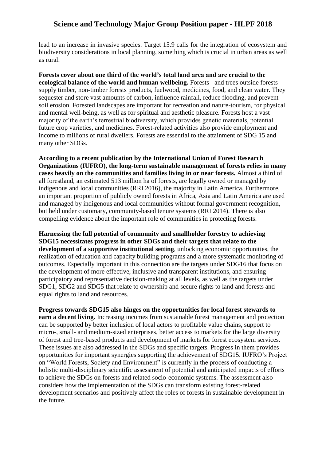lead to an increase in invasive species. Target 15.9 calls for the integration of ecosystem and biodiversity considerations in local planning, something which is crucial in urban areas as well as rural.

**Forests cover about one third of the world's total land area and are crucial to the ecological balance of the world and human wellbeing.** Forests - and trees outside forests supply timber, non-timber forests products, fuelwood, medicines, food, and clean water. They sequester and store vast amounts of carbon, influence rainfall, reduce flooding, and prevent soil erosion. Forested landscapes are important for recreation and nature-tourism, for physical and mental well-being, as well as for spiritual and aesthetic pleasure. Forests host a vast majority of the earth's terrestrial biodiversity, which provides genetic materials, potential future crop varieties, and medicines. Forest-related activities also provide employment and income to millions of rural dwellers. Forests are essential to the attainment of SDG 15 and many other SDGs.

**According to a recent publication by the International Union of Forest Research Organizations (IUFRO), the long-term sustainable management of forests relies in many cases heavily on the communities and families living in or near forests.** Almost a third of all forestland, an estimated 513 million ha of forests, are legally owned or managed by indigenous and local communities (RRI 2016), the majority in Latin America. Furthermore, an important proportion of publicly owned forests in Africa, Asia and Latin America are used and managed by indigenous and local communities without formal government recognition, but held under customary, community-based tenure systems (RRI 2014). There is also compelling evidence about the important role of communities in protecting forests.

**Harnessing the full potential of community and smallholder forestry to achieving SDG15 necessitates progress in other SDGs and their targets that relate to the development of a supportive institutional setting**, unlocking economic opportunities, the realization of education and capacity building programs and a more systematic monitoring of outcomes. Especially important in this connection are the targets under SDG16 that focus on the development of more effective, inclusive and transparent institutions, and ensuring participatory and representative decision-making at all levels, as well as the targets under SDG1, SDG2 and SDG5 that relate to ownership and secure rights to land and forests and equal rights to land and resources.

**Progress towards SDG15 also hinges on the opportunities for local forest stewards to earn a decent living.** Increasing incomes from sustainable forest management and protection can be supported by better inclusion of local actors to profitable value chains, support to micro-, small- and medium-sized enterprises, better access to markets for the large diversity of forest and tree-based products and development of markets for forest ecosystem services. These issues are also addressed in the SDGs and specific targets. Progress in them provides opportunities for important synergies supporting the achievement of SDG15. IUFRO's Project on "World Forests, Society and Environment" is currently in the process of conducting a holistic multi-disciplinary scientific assessment of potential and anticipated impacts of efforts to achieve the SDGs on forests and related socio-economic systems. The assessment also considers how the implementation of the SDGs can transform existing forest-related development scenarios and positively affect the roles of forests in sustainable development in the future.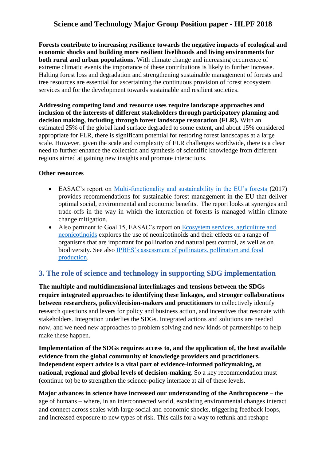**Forests contribute to increasing resilience towards the negative impacts of ecological and economic shocks and building more resilient livelihoods and living environments for both rural and urban populations.** With climate change and increasing occurrence of extreme climatic events the importance of these contributions is likely to further increase. Halting forest loss and degradation and strengthening sustainable management of forests and tree resources are essential for ascertaining the continuous provision of forest ecosystem services and for the development towards sustainable and resilient societies.

**Addressing competing land and resource uses require landscape approaches and inclusion of the interests of different stakeholders through participatory planning and decision making, including through forest landscape restoration (FLR).** With an estimated 25% of the global land surface degraded to some extent, and about 15% considered appropriate for FLR, there is significant potential for restoring forest landscapes at a large scale. However, given the scale and complexity of FLR challenges worldwide, there is a clear need to further enhance the collection and synthesis of scientific knowledge from different regions aimed at gaining new insights and promote interactions.

#### **Other resources**

- EASAC's report on [Multi-functionality and sustainability in the EU's forests](https://easac.eu/publications/details/multi-functionality-and-sustainability-in-the-european-unions-forests/) (2017) provides recommendations for sustainable forest management in the EU that deliver optimal social, environmental and economic benefits. The report looks at synergies and trade-offs in the way in which the interaction of forests is managed within climate change mitigation.
- Also pertinent to Goal 15, EASAC's report on Ecosystem services, agriculture and [neonicotinoids](https://easac.eu/publications/details/ecosystem-services-agriculture-and-neonicotinoids/) explores the use of neonicotinoids and their effects on a range of organisms that are important for pollination and natural pest control, as well as on biodiversity. See also [IPBES's assessment of pollinators, pollination and food](https://www.ipbes.net/deliverables/3a-pollination)  [production.](https://www.ipbes.net/deliverables/3a-pollination)

# **3. The role of science and technology in supporting SDG implementation**

**The multiple and multidimensional interlinkages and tensions between the SDGs require integrated approaches to identifying these linkages, and stronger collaborations between researchers, policy/decision-makers and practitioners** to collectively identify research questions and levers for policy and business action, and incentives that resonate with stakeholders. Integration underlies the SDGs. Integrated actions and solutions are needed now, and we need new approaches to problem solving and new kinds of partnerships to help make these happen.

**Implementation of the SDGs requires access to, and the application of, the best available evidence from the global community of knowledge providers and practitioners. Independent expert advice is a vital part of evidence-informed policymaking, at national, regional and global levels of decision-making**. So a key recommendation must (continue to) be to strengthen the science-policy interface at all of these levels.

**Major advances in science have increased our understanding of the Anthropocene** – the age of humans – where, in an interconnected world, escalating environmental changes interact and connect across scales with large social and economic shocks, triggering feedback loops, and increased exposure to new types of risk. This calls for a way to rethink and reshape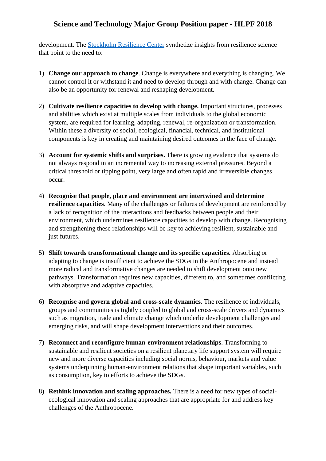development. The [Stockholm Resilience Center](http://www.stockholmresilience.org/) synthetize insights from resilience science that point to the need to:

- 1) **Change our approach to change**. Change is everywhere and everything is changing. We cannot control it or withstand it and need to develop through and with change. Change can also be an opportunity for renewal and reshaping development.
- 2) **Cultivate resilience capacities to develop with change.** Important structures, processes and abilities which exist at multiple scales from individuals to the global economic system, are required for learning, adapting, renewal, re-organization or transformation. Within these a diversity of social, ecological, financial, technical, and institutional components is key in creating and maintaining desired outcomes in the face of change.
- 3) **Account for systemic shifts and surprises.** There is growing evidence that systems do not always respond in an incremental way to increasing external pressures. Beyond a critical threshold or tipping point, very large and often rapid and irreversible changes occur.
- 4) **Recognise that people, place and environment are intertwined and determine resilience capacities**. Many of the challenges or failures of development are reinforced by a lack of recognition of the interactions and feedbacks between people and their environment, which undermines resilience capacities to develop with change. Recognising and strengthening these relationships will be key to achieving resilient, sustainable and just futures.
- 5) **Shift towards transformational change and its specific capacities.** Absorbing or adapting to change is insufficient to achieve the SDGs in the Anthropocene and instead more radical and transformative changes are needed to shift development onto new pathways. Transformation requires new capacities, different to, and sometimes conflicting with absorptive and adaptive capacities.
- 6) **Recognise and govern global and cross-scale dynamics**. The resilience of individuals, groups and communities is tightly coupled to global and cross-scale drivers and dynamics such as migration, trade and climate change which underlie development challenges and emerging risks, and will shape development interventions and their outcomes.
- 7) **Reconnect and reconfigure human-environment relationships**. Transforming to sustainable and resilient societies on a resilient planetary life support system will require new and more diverse capacities including social norms, behaviour, markets and value systems underpinning human-environment relations that shape important variables, such as consumption, key to efforts to achieve the SDGs.
- 8) **Rethink innovation and scaling approaches.** There is a need for new types of socialecological innovation and scaling approaches that are appropriate for and address key challenges of the Anthropocene.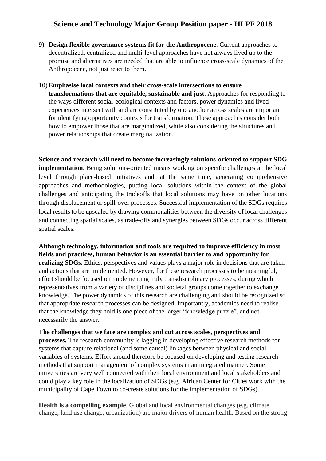- 9) **Design flexible governance systems fit for the Anthropocene**. Current approaches to decentralized, centralized and multi-level approaches have not always lived up to the promise and alternatives are needed that are able to influence cross-scale dynamics of the Anthropocene, not just react to them.
- 10) **Emphasise local contexts and their cross-scale intersections to ensure transformations that are equitable, sustainable and just**. Approaches for responding to the ways different social-ecological contexts and factors, power dynamics and lived experiences intersect with and are constituted by one another across scales are important for identifying opportunity contexts for transformation. These approaches consider both how to empower those that are marginalized, while also considering the structures and power relationships that create marginalization.

**Science and research will need to become increasingly solutions-oriented to support SDG implementation**. Being solutions-oriented means working on specific challenges at the local level through place-based initiatives and, at the same time, generating comprehensive approaches and methodologies, putting local solutions within the context of the global challenges and anticipating the tradeoffs that local solutions may have on other locations through displacement or spill-over processes. Successful implementation of the SDGs requires local results to be upscaled by drawing commonalities between the diversity of local challenges and connecting spatial scales, as trade-offs and synergies between SDGs occur across different spatial scales.

**Although technology, information and tools are required to improve efficiency in most fields and practices, human behavior is an essential barrier to and opportunity for realizing SDGs.** Ethics, perspectives and values plays a major role in decisions that are taken and actions that are implemented. However, for these research processes to be meaningful, effort should be focused on implementing truly transdisciplinary processes, during which representatives from a variety of disciplines and societal groups come together to exchange knowledge. The power dynamics of this research are challenging and should be recognized so that appropriate research processes can be designed. Importantly, academics need to realise that the knowledge they hold is one piece of the larger "knowledge puzzle", and not necessarily the answer.

**The challenges that we face are complex and cut across scales, perspectives and processes.** The research community is lagging in developing effective research methods for systems that capture relational (and some causal) linkages between physical and social variables of systems. Effort should therefore be focused on developing and testing research methods that support management of complex systems in an integrated manner. Some universities are very well connected with their local environment and local stakeholders and could play a key role in the localization of SDGs (e.g. African Center for Cities work with the municipality of Cape Town to co-create solutions for the implementation of SDGs).

**Health is a compelling example**. Global and local environmental changes (e.g. climate change, land use change, urbanization) are major drivers of human health. Based on the strong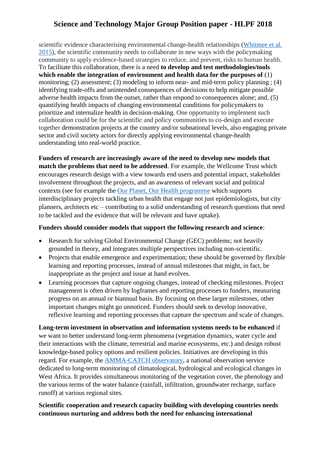scientific evidence characterising environmental change-health relationships [\(Whitmee et al.](http://www.thelancet.com/commissions/planetary-health)  [2015\)](http://www.thelancet.com/commissions/planetary-health), the scientific community needs to collaborate in new ways with the policymaking community to apply evidence-based strategies to reduce, and prevent, risks to human health. To facilitate this collaboration, there is a need **to develop and test methodologies/tools which enable the integration of environment and health data for the purposes of** (1) monitoring; (2) assessment; (3) modeling to inform near- and mid-term policy planning ; (4) identifying trade-offs and unintended consequences of decisions to help mitigate possible adverse health impacts from the outset, rather than respond to consequences alone; and, (5) quantifying health impacts of changing environmental conditions for policymakers to prioritize and internalize health in decision-making. One opportunity to implement such collaboration could be for the scientific and policy communities to co-design and execute together demonstration projects at the country and/or subnational levels, also engaging private sector and civil society actors for directly applying environmental change-health understanding into real-world practice.

**Funders of research are increasingly aware of the need to develop new models that match the problems that need to be addressed**. For example, the Wellcome Trust which encourages research design with a view towards end users and potential impact, stakeholder involvement throughout the projects, and an awareness of relevant social and political contexts (see for example the [Our Planet, Our Health programme](https://wellcome.ac.uk/what-we-do/our-work/our-planet-our-health) which supports interdisciplinary projects tackling urban health that engage not just epidemiologists, but city planners, architects etc – contributing to a solid understanding of research questions that need to be tackled and the evidence that will be relevant and have uptake).

#### **Funders should consider models that support the following research and science**:

- Research for solving Global Environmental Change (GEC) problems; not heavily grounded in theory, and integrates multiple perspectives including non-scientific.
- Projects that enable emergence and experimentation; these should be governed by flexible learning and reporting processes, instead of annual milestones that might, in fact, be inappropriate as the project and issue at hand evolves.
- Learning processes that capture ongoing changes, instead of checking milestones. Project management is often driven by logframes and reporting processes to funders, measuring progress on an annual or biannual basis. By focusing on these larger milestones, other important changes might go unnoticed. Funders should seek to develop innovative, reflexive learning and reporting processes that capture the spectrum and scale of changes.

**Long-term investment in observation and information systems needs to be enhanced** if we want to better understand long-term phenomena (vegetation dynamics, water cycle and their interactions with the climate, terrestrial and marine ecosystems, etc.) and design robust knowledge-based policy options and resilient policies. Initiatives are developing in this regard. For example, the [AMMA-CATCH observatory,](http://www.ore-hybam.org/) a national observation service dedicated to long-term monitoring of climatological, hydrological and ecological changes in West Africa. It provides simultaneous monitoring of the vegetation cover, the phenology and the various terms of the water balance (rainfall, infiltration, groundwater recharge, surface runoff) at various regional sites.

#### **Scientific cooperation and research capacity building with developing countries needs continuous nurturing and address both the need for enhancing international**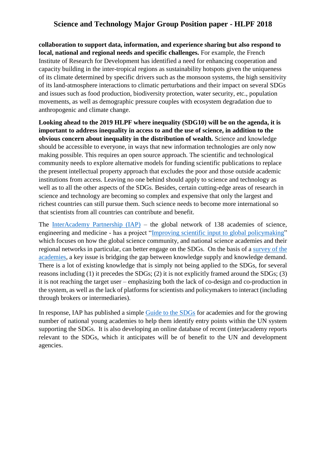**collaboration to support data, information, and experience sharing but also respond to local, national and regional needs and specific challenges.** For example, the French Institute of Research for Development has identified a need for enhancing cooperation and capacity building in the inter-tropical regions as sustainability hotspots given the uniqueness of its climate determined by specific drivers such as the monsoon systems, the high sensitivity of its land-atmosphere interactions to climatic perturbations and their impact on several SDGs and issues such as food production, biodiversity protection, water security, etc., population movements, as well as demographic pressure couples with ecosystem degradation due to anthropogenic and climate change.

**Looking ahead to the 2019 HLPF where inequality (SDG10) will be on the agenda, it is important to address inequality in access to and the use of science, in addition to the obvious concern about inequality in the distribution of wealth.** Science and knowledge should be accessible to everyone, in ways that new information technologies are only now making possible. This requires an open source approach. The scientific and technological community needs to explore alternative models for funding scientific publications to replace the present intellectual property approach that excludes the poor and those outside academic institutions from access. Leaving no one behind should apply to science and technology as well as to all the other aspects of the SDGs. Besides, certain cutting-edge areas of research in science and technology are becoming so complex and expensive that only the largest and richest countries can still pursue them. Such science needs to become more international so that scientists from all countries can contribute and benefit.

The [InterAcademy Partnership \(IAP\)](http://www.interacademies.org/) – the global network of 138 academies of science, engineering and medicine - has a project ["Improving scientific input to global policymaking"](http://www.interacademies.org/36061.aspx) which focuses on how the global science community, and national science academies and their regional networks in particular, can better engage on the SDGs. On the basis of a [survey of the](http://www.interacademies.org/36188/Results-of-the-Survey-of-the-Academies)  [academies,](http://www.interacademies.org/36188/Results-of-the-Survey-of-the-Academies) a key issue is bridging the gap between knowledge supply and knowledge demand. There is a lot of existing knowledge that is simply not being applied to the SDGs, for several reasons including (1) it precedes the SDGs; (2) it is not explicitly framed around the SDGs; (3) it is not reaching the target user – emphasizing both the lack of co-design and co-production in the system, as well as the lack of platforms for scientists and policymakers to interact (including through brokers or intermediaries).

In response, IAP has published a simple [Guide to the SDGs](http://www.interacademies.org/37864/IAP_SDG_Guide) for academies and for the growing number of national young academies to help them identify entry points within the UN system supporting the SDGs. It is also developing an online database of recent (inter)academy reports relevant to the SDGs, which it anticipates will be of benefit to the UN and development agencies.